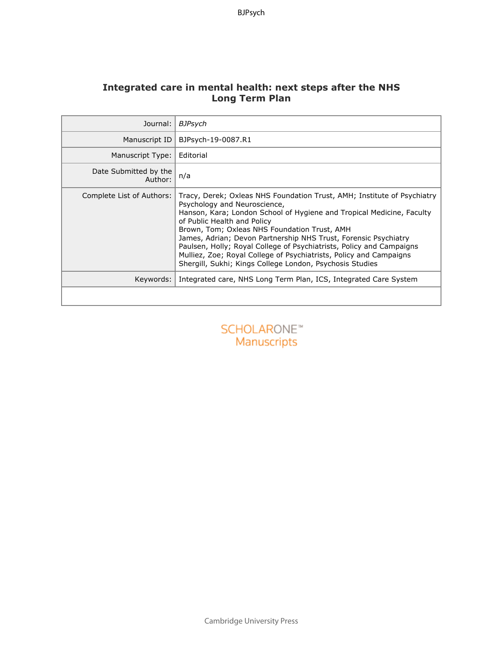## **Integrated care in mental health: next steps after the NHS Long Term Plan**

| Journal:                               | <b>BJPsych</b>                                                                                                                                                                                                                                                                                                                                                                                                                                                                                                                               |  |  |
|----------------------------------------|----------------------------------------------------------------------------------------------------------------------------------------------------------------------------------------------------------------------------------------------------------------------------------------------------------------------------------------------------------------------------------------------------------------------------------------------------------------------------------------------------------------------------------------------|--|--|
| Manuscript ID                          | BJPsych-19-0087.R1                                                                                                                                                                                                                                                                                                                                                                                                                                                                                                                           |  |  |
| Manuscript Type:                       | Editorial                                                                                                                                                                                                                                                                                                                                                                                                                                                                                                                                    |  |  |
| Date Submitted by the<br>Author:       | n/a                                                                                                                                                                                                                                                                                                                                                                                                                                                                                                                                          |  |  |
| Complete List of Authors:              | Tracy, Derek; Oxleas NHS Foundation Trust, AMH; Institute of Psychiatry<br>Psychology and Neuroscience,<br>Hanson, Kara; London School of Hygiene and Tropical Medicine, Faculty<br>of Public Health and Policy<br>Brown, Tom; Oxleas NHS Foundation Trust, AMH<br>James, Adrian; Devon Partnership NHS Trust, Forensic Psychiatry<br>Paulsen, Holly; Royal College of Psychiatrists, Policy and Campaigns<br>Mulliez, Zoe; Royal College of Psychiatrists, Policy and Campaigns<br>Shergill, Sukhi; Kings College London, Psychosis Studies |  |  |
| Keywords:                              | Integrated care, NHS Long Term Plan, ICS, Integrated Care System                                                                                                                                                                                                                                                                                                                                                                                                                                                                             |  |  |
|                                        |                                                                                                                                                                                                                                                                                                                                                                                                                                                                                                                                              |  |  |
| SCHOLARONE <sup>®</sup><br>Manuscripts |                                                                                                                                                                                                                                                                                                                                                                                                                                                                                                                                              |  |  |
|                                        |                                                                                                                                                                                                                                                                                                                                                                                                                                                                                                                                              |  |  |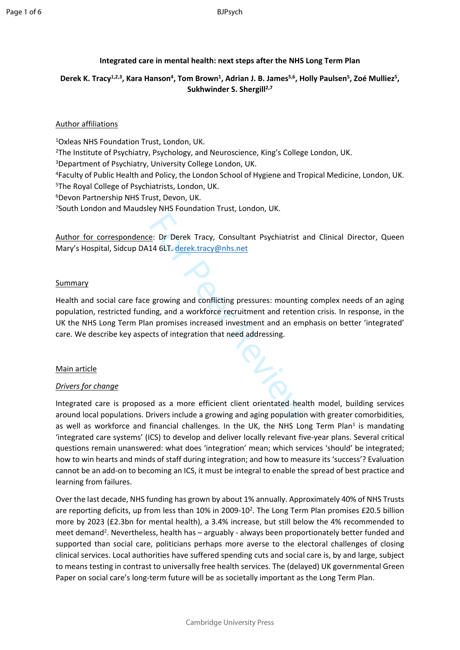## **Integrated care in mental health: next steps after the NHS Long Term Plan**

# Derek K. Tracy<sup>1,2,3</sup>, Kara Hanson<sup>4</sup>, Tom Brown<sup>1</sup>, Adrian J. B. James<sup>5,6</sup>, Holly Paulsen<sup>5</sup>, Zoé Mulliez<sup>5</sup>, **Sukhwinder S. Shergill2,7**

## Author affiliations

Oxleas NHS Foundation Trust, London, UK. The Institute of Psychiatry, Psychology, and Neuroscience, King's College London, UK. Department of Psychiatry, University College London, UK. Faculty of Public Health and Policy, the London School of Hygiene and Tropical Medicine, London, UK. The Royal College of Psychiatrists, London, UK. Devon Partnership NHS Trust, Devon, UK. South London and Maudsley NHS Foundation Trust, London, UK.

Author for correspondence: Dr Derek Tracy, Consultant Psychiatrist and Clinical Director, Queen Mary's Hospital, Sidcup DA14 6LT. derek.tracy@nhs.net

## Summary

E: Dr Derek Tracy, Consultant Psychiatrist and 6LT. <u>derek tracy@nhs.net</u><br>14 6LT. <u>derek tracy@nhs.net</u><br>15 and a w[or](mailto:derek.tracy@nhs.net)kforce recruitment and retention<br>16 and a workforce recruitment and an empty<br>16 and an empty of integratio Health and social care face growing and conflicting pressures: mounting complex needs of an aging population, restricted funding, and a workforce recruitment and retention crisis. In response, in the UK the NHS Long Term Plan promises increased investment and an emphasis on better 'integrated' care. We describe key aspects of integration that need addressing.

## Main article

## *Drivers for change*

Integrated care is proposed as a more efficient client orientated health model, building services around local populations. Drivers include a growing and aging population with greater comorbidities, as well as workforce and financial challenges. In the UK, the NHS Long Term Plan<sup>1</sup> is mandating 'integrated care systems' (ICS) to develop and deliver locally relevant five-year plans. Several critical questions remain unanswered: what does 'integration' mean; which services 'should' be integrated; how to win hearts and minds of staff during integration; and how to measure its 'success'? Evaluation cannot be an add-on to becoming an ICS, it must be integral to enable the spread of best practice and learning from failures.

Over the last decade, NHS funding has grown by about 1% annually. Approximately 40% of NHS Trusts are reporting deficits, up from less than 10% in 2009-10<sup>2</sup>. The Long Term Plan promises £20.5 billion more by 2023 (£2.3bn for mental health), a 3.4% increase, but still below the 4% recommended to meet demand<sup>2</sup>. Nevertheless, health has - arguably - always been proportionately better funded and supported than social care, politicians perhaps more averse to the electoral challenges of closing clinical services. Local authorities have suffered spending cuts and social care is, by and large, subject to means testing in contrast to universally free health services. The (delayed) UK governmental Green Paper on social care's long-term future will be as societally important as the Long Term Plan.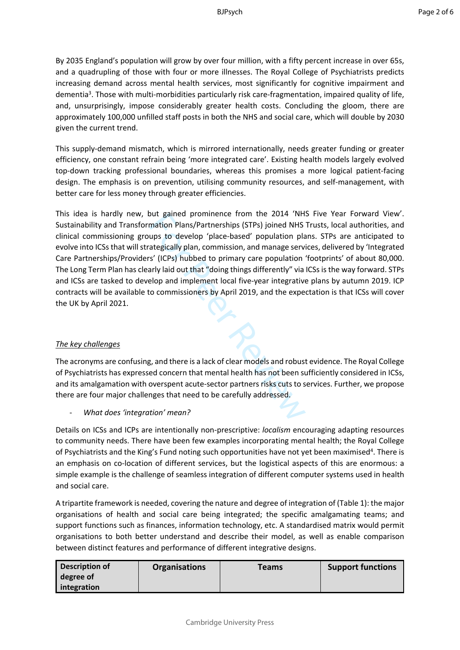By 2035 England's population will grow by over four million, with a fifty percent increase in over 65s, and a quadrupling of those with four or more illnesses. The Royal College of Psychiatrists predicts increasing demand across mental health services, most significantly for cognitive impairment and dementia 3 . Those with multi-morbidities particularly risk care-fragmentation, impaired quality of life, and, unsurprisingly, impose considerably greater health costs. Concluding the gloom, there are approximately 100,000 unfilled staff posts in both the NHS and social care, which will double by 2030 given the current trend.

This supply-demand mismatch, which is mirrored internationally, needs greater funding or greater efficiency, one constant refrain being 'more integrated care'. Existing health models largely evolved top-down tracking professional boundaries, whereas this promises a more logical patient-facing design. The emphasis is on prevention, utilising community resources, and self-management, with better care for less money through greater efficiencies.

but gained prominence from the 2014 TNH.<br>
mation Plans/Partnerships (STPs) joined NHS<br>
ups to develop 'place-based' population pla<br>
ategically plan, commission, and manage serv<br>
s' (ICPs) hubbed to primary care population<br> This idea is hardly new, but gained prominence from the 2014 'NHS Five Year Forward View'. Sustainability and Transformation Plans/Partnerships (STPs) joined NHS Trusts, local authorities, and clinical commissioning groups to develop 'place-based' population plans. STPs are anticipated to evolve into ICSs that will strategically plan, commission, and manage services, delivered by 'Integrated Care Partnerships/Providers' (ICPs) hubbed to primary care population 'footprints' of about 80,000. The Long Term Plan has clearly laid out that "doing things differently" via ICSs is the way forward. STPs and ICSs are tasked to develop and implement local five-year integrative plans by autumn 2019. ICP contracts will be available to commissioners by April 2019, and the expectation is that ICSs will cover the UK by April 2021.

## *The key challenges*

The acronyms are confusing, and there is a lack of clear models and robust evidence. The Royal College of Psychiatrists has expressed concern that mental health has not been sufficiently considered in ICSs, and its amalgamation with overspent acute-sector partners risks cuts to services. Further, we propose there are four major challenges that need to be carefully addressed. - *What does 'integration' mean?*

Details on ICSs and ICPs are intentionally non-prescriptive: *localism* encouraging adapting resources to community needs. There have been few examples incorporating mental health; the Royal College of Psychiatrists and the King's Fund noting such opportunities have not yet been maximised<sup>4</sup>. There is an emphasis on co-location of different services, but the logistical aspects of this are enormous: a simple example is the challenge of seamless integration of different computer systems used in health and social care.

A tripartite framework is needed, covering the nature and degree of integration of (Table 1): the major organisations of health and social care being integrated; the specific amalgamating teams; and support functions such as finances, information technology, etc. A standardised matrix would permit organisations to both better understand and describe their model, as well as enable comparison between distinct features and performance of different integrative designs.

| Description of<br>degree of | <b>Organisations</b> | <b>Teams</b> | <b>Support functions</b> |
|-----------------------------|----------------------|--------------|--------------------------|
| integration                 |                      |              |                          |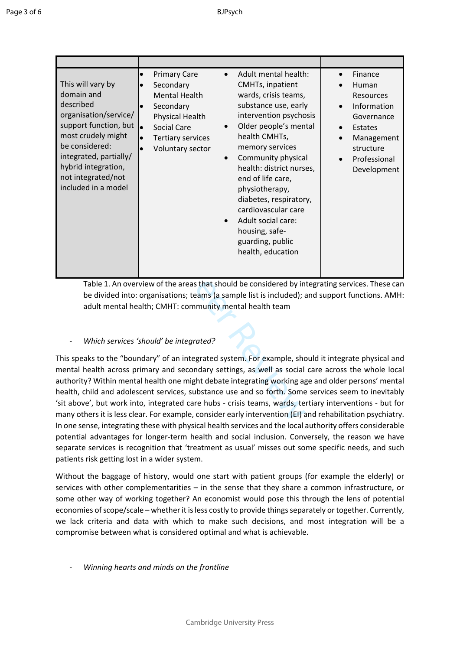| This will vary by<br>domain and<br>described<br>organisation/service/<br>support function, but<br>most crudely might<br>be considered:<br>integrated, partially/<br>hybrid integration,<br>not integrated/not<br>included in a model | <b>Primary Care</b><br>$\bullet$<br>Secondary<br>$\bullet$<br><b>Mental Health</b><br>Secondary<br>$\bullet$<br><b>Physical Health</b><br>l.<br><b>Social Care</b><br>Tertiary services<br>$\bullet$<br>Voluntary sector<br>$\bullet$ | Adult mental health:<br>$\bullet$<br><b>CMHTs, inpatient</b><br>wards, crisis teams,<br>substance use, early<br>intervention psychosis<br>Older people's mental<br>$\bullet$<br>health CMHTs,<br>memory services<br>Community physical<br>$\bullet$<br>health: district nurses,<br>end of life care,<br>physiotherapy,<br>diabetes, respiratory,<br>cardiovascular care<br>Adult social care:<br>$\bullet$<br>housing, safe-<br>guarding, public<br>health, education | Finance<br>$\bullet$<br>Human<br><b>Resources</b><br>Information<br>Governance<br>Estates<br>$\bullet$<br>Management<br>structure<br>Professional<br>Development |
|--------------------------------------------------------------------------------------------------------------------------------------------------------------------------------------------------------------------------------------|---------------------------------------------------------------------------------------------------------------------------------------------------------------------------------------------------------------------------------------|-----------------------------------------------------------------------------------------------------------------------------------------------------------------------------------------------------------------------------------------------------------------------------------------------------------------------------------------------------------------------------------------------------------------------------------------------------------------------|------------------------------------------------------------------------------------------------------------------------------------------------------------------|

Table 1. An overview of the areas that should be considered by integrating services. These can be divided into: organisations; teams (a sample list is included); and support functions. AMH: adult mental health; CMHT: community mental health team

## - *Which services 'should' be integrated?*

• Adult social care:<br>
housing, safe-<br>
musing, papilic<br>
health, education<br>
wo of the areas that should be considered by in<br>
ganisations; teams (a sample list is included);<br>
i; CMHT: community mental health team<br>
uuld' be in This speaks to the "boundary" of an integrated system. For example, should it integrate physical and mental health across primary and secondary settings, as well as social care across the whole local authority? Within mental health one might debate integrating working age and older persons' mental health, child and adolescent services, substance use and so forth. Some services seem to inevitably 'sit above', but work into, integrated care hubs - crisis teams, wards, tertiary interventions - but for many others it is less clear. For example, consider early intervention (EI) and rehabilitation psychiatry. In one sense, integrating these with physical health services and the local authority offers considerable potential advantages for longer-term health and social inclusion. Conversely, the reason we have separate services is recognition that 'treatment as usual' misses out some specific needs, and such patients risk getting lost in a wider system.

Without the baggage of history, would one start with patient groups (for example the elderly) or services with other complementarities – in the sense that they share a common infrastructure, or some other way of working together? An economist would pose this through the lens of potential economies of scope/scale – whether it is less costly to provide things separately or together. Currently, we lack criteria and data with which to make such decisions, and most integration will be a compromise between what is considered optimal and what is achievable. - *Winning hearts and minds on the frontline*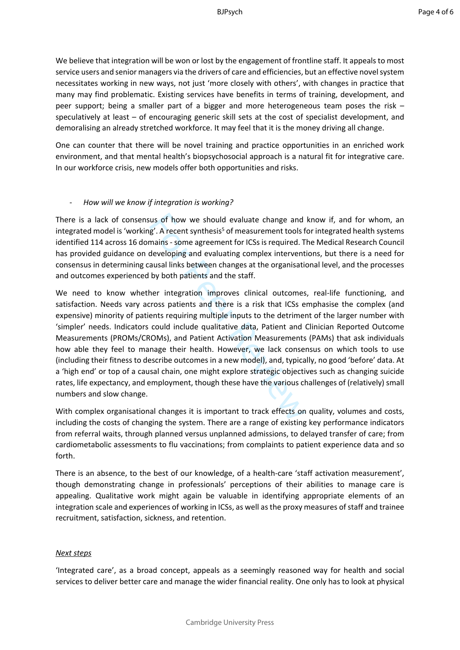We believe that integration will be won or lost by the engagement of frontline staff. It appeals to most service users and senior managers via the drivers of care and efficiencies, but an effective novel system necessitates working in new ways, not just 'more closely with others', with changes in practice that many may find problematic. Existing services have benefits in terms of training, development, and peer support; being a smaller part of a bigger and more heterogeneous team poses the risk – speculatively at least – of encouraging generic skill sets at the cost of specialist development, and demoralising an already stretched workforce. It may feel that it is the money driving all change.

One can counter that there will be novel training and practice opportunities in an enriched work environment, and that mental health's biopsychosocial approach is a natural fit for integrative care. In our workforce crisis, new models offer both opportunities and risks.<br>- *How will we know if integration is working?* 

There is a lack of consensus of how we should evaluate change and know if, and for whom, an integrated model is 'working'. A recent synthesis<sup>5</sup> of measurement tools for integrated health systems identified 114 across 16 domains - some agreement for ICSs is required. The Medical Research Council has provided guidance on developing and evaluating complex interventions, but there is a need for consensus in determining causal links between changes at the organisational level, and the processes and outcomes experienced by both patients and the staff.

ius of how we should evaluate change and<br>g'. A recent synthesis<sup>5</sup> of measurement tools f<br>mains - some agreement for ICSs is required. T<br>developing and evaluating complex intervent<br>ausal links between changes at the organi We need to know whether integration improves clinical outcomes, real-life functioning, and satisfaction. Needs vary across patients and there is a risk that ICSs emphasise the complex (and expensive) minority of patients requiring multiple inputs to the detriment of the larger number with 'simpler' needs. Indicators could include qualitative data, Patient and Clinician Reported Outcome Measurements (PROMs/CROMs), and Patient Activation Measurements (PAMs) that ask individuals how able they feel to manage their health. However, we lack consensus on which tools to use (including their fitness to describe outcomes in a new model), and, typically, no good 'before' data. At a 'high end' or top of a causal chain, one might explore strategic objectives such as changing suicide rates, life expectancy, and employment, though these have the various challenges of (relatively) small numbers and slow change.

With complex organisational changes it is important to track effects on quality, volumes and costs, including the costs of changing the system. There are a range of existing key performance indicators from referral waits, through planned versus unplanned admissions, to delayed transfer of care; from cardiometabolic assessments to flu vaccinations; from complaints to patient experience data and so forth.

There is an absence, to the best of our knowledge, of a health-care 'staff activation measurement', though demonstrating change in professionals' perceptions of their abilities to manage care is appealing. Qualitative work might again be valuable in identifying appropriate elements of an integration scale and experiences of working in ICSs, as well as the proxy measures of staff and trainee recruitment, satisfaction, sickness, and retention.

## *Next steps*

'Integrated care', as a broad concept, appeals as a seemingly reasoned way for health and social services to deliver better care and manage the wider financial reality. One only has to look at physical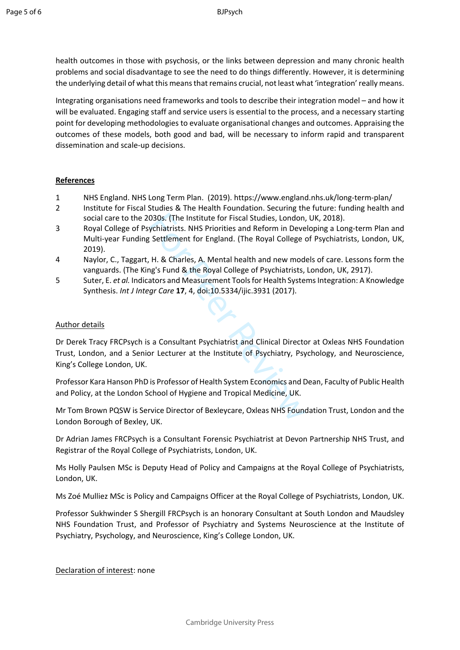BJPsych

health outcomes in those with psychosis, or the links between depression and many chronic health problems and social disadvantage to see the need to do things differently. However, it is determining the underlying detail of what this means that remains crucial, not least what 'integration' really means.

Integrating organisations need frameworks and tools to describe their integration model – and how it will be evaluated. Engaging staff and service users is essential to the process, and a necessary starting point for developing methodologies to evaluate organisational changes and outcomes. Appraising the outcomes of these models, both good and bad, will be necessary to inform rapid and transparent dissemination and scale-up decisions.

## **References**

- 1 NHS England. NHS Long Term Plan. (2019). https://www.england.nhs.uk/long-term-plan/
- 2 Institute for Fiscal Studies & The Health Foundation. Securing the future: funding health and social care to the 2030s. (The Institute for Fiscal Studies, London, UK, 2018).
- 3 Royal College of Psychiatrists. NHS Priorities and Reform in Developing a Long-term Plan and Multi-year Funding Settlement for England. (The Royal College of Psychiatrists, London, UK, 2019).
- 4 Naylor, C., Taggart, H. & Charles, A. Mental health and new models of care. Lessons form the vanguards. (The King's Fund & the Royal College of Psychiatrists, London, UK, 2917).
- 5 Suter, E. *et al.* Indicators and Measurement Tools for Health Systems Integration: A Knowledge Synthesis. *Int J Integr Care* **17**, 4, doi:10.5334/ijic.3931 (2017).

#### Author details

030s. (The Institute for Fiscal Studies, London,<br>ychiatrists. NHS Priorities and Reform in Deve<br>5. Settlement for England. (The Royal College<br>1. & Charles, A. Mental health and new mod<br>1g's Fund & the Royal College of Psyc Dr Derek Tracy FRCPsych is a Consultant Psychiatrist and Clinical Director at Oxleas NHS Foundation Trust, London, and a Senior Lecturer at the Institute of Psychiatry, Psychology, and Neuroscience, King's College London, UK.

Professor Kara Hanson PhD is Professor of Health System Economics and Dean, Faculty of Public Health and Policy, at the London School of Hygiene and Tropical Medicine, UK.

Mr Tom Brown PQSW is Service Director of Bexleycare, Oxleas NHS Foundation Trust, London and the London Borough of Bexley, UK.

Dr Adrian James FRCPsych is a Consultant Forensic Psychiatrist at Devon Partnership NHS Trust, and Registrar of the Royal College of Psychiatrists, London, UK.

Ms Holly Paulsen MSc is Deputy Head of Policy and Campaigns at the Royal College of Psychiatrists, London, UK.

Ms Zoé Mulliez MSc is Policy and Campaigns Officer at the Royal College of Psychiatrists, London, UK.

Professor Sukhwinder S Shergill FRCPsych is an honorary Consultant at South London and Maudsley NHS Foundation Trust, and Professor of Psychiatry and Systems Neuroscience at the Institute of Psychiatry, Psychology, and Neuroscience, King's College London, UK.

## Declaration of interest: none